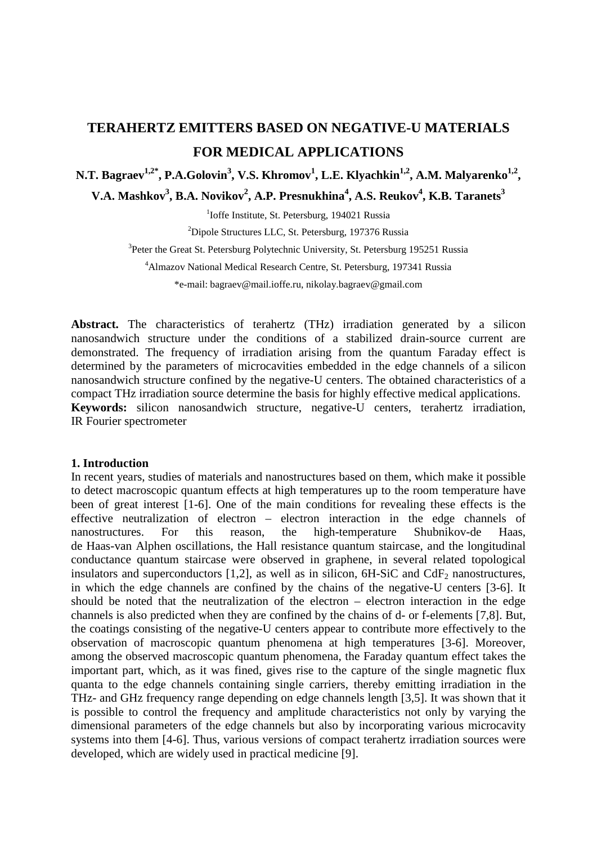# **TERAHERTZ EMITTERS BASED ON NEGATIVE-U MATERIALS FOR MEDICAL APPLICATIONS**

# N.T. Bagraev<sup>1,2\*</sup>, P.A.Golovin<sup>3</sup>, V.S. Khromov<sup>1</sup>, L.E. Klyachkin<sup>1,2</sup>, A.M. Malyarenko<sup>1,2</sup>,

 $V.A.$  Mashkov<sup>3</sup>, B.A. Novikov<sup>2</sup>, A.P. Presnukhina<sup>4</sup>, A.S. Reukov<sup>4</sup>, K.B. Taranets<sup>3</sup>

<sup>1</sup>Ioffe Institute, St. Petersburg, 194021 Russia

<sup>2</sup>Dipole Structures LLC, St. Petersburg, 197376 Russia

<sup>3</sup>Peter the Great St. Petersburg Polytechnic University, St. Petersburg 195251 Russia

4 Almazov National Medical Research Centre, St. Petersburg, 197341 Russia

\*e-mail: bagraev@mail.ioffe.ru, nikolay.bagraev@gmail.com

**Abstract.** The characteristics of terahertz (THz) irradiation generated by a silicon nanosandwich structure under the conditions of a stabilized drain-source current are demonstrated. The frequency of irradiation arising from the quantum Faraday effect is determined by the parameters of microcavities embedded in the edge channels of a silicon nanosandwich structure confined by the negative-U centers. The obtained characteristics of a compact THz irradiation source determine the basis for highly effective medical applications. **Keywords:** silicon nanosandwich structure, negative-U centers, terahertz irradiation, IR Fourier spectrometer

#### **1. Introduction**

In recent years, studies of materials and nanostructures based on them, which make it possible to detect macroscopic quantum effects at high temperatures up to the room temperature have been of great interest [1-6]. One of the main conditions for revealing these effects is the effective neutralization of electron – electron interaction in the edge channels of nanostructures. For this reason, the high-temperature Shubnikov-de Haas, de Haas-van Alphen oscillations, the Hall resistance quantum staircase, and the longitudinal conductance quantum staircase were observed in graphene, in several related topological insulators and superconductors  $[1,2]$ , as well as in silicon,  $6H-SiC$  and  $CdF<sub>2</sub>$  nanostructures, in which the edge channels are confined by the chains of the negative-U centers [3-6]. It should be noted that the neutralization of the electron – electron interaction in the edge channels is also predicted when they are confined by the chains of d- or f-elements [7,8]. But, the coatings consisting of the negative-U centers appear to contribute more effectively to the observation of macroscopic quantum phenomena at high temperatures [3-6]. Moreover, among the observed macroscopic quantum phenomena, the Faraday quantum effect takes the important part, which, as it was fined, gives rise to the capture of the single magnetic flux quanta to the edge channels containing single carriers, thereby emitting irradiation in the THz- and GHz frequency range depending on edge channels length [3,5]. It was shown that it is possible to control the frequency and amplitude characteristics not only by varying the dimensional parameters of the edge channels but also by incorporating various microcavity systems into them [4-6]. Thus, various versions of compact terahertz irradiation sources were developed, which are widely used in practical medicine [9].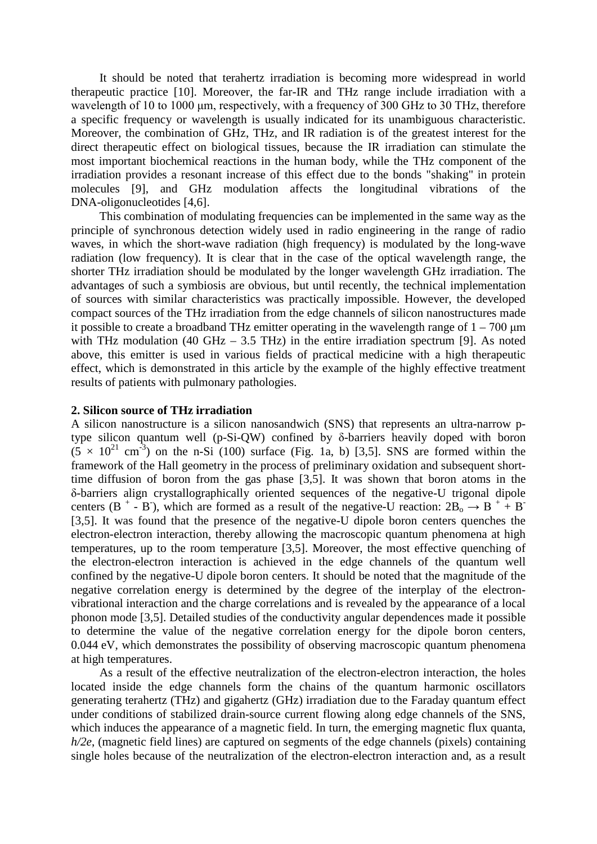Terahertz emitters based on negative-U materials for medical applications 265

It should be noted that terahertz irradiation is becoming more widespread in world therapeutic practice [10]. Moreover, the far-IR and THz range include irradiation with a wavelength of 10 to 1000 μm, respectively, with a frequency of 300 GHz to 30 THz, therefore a specific frequency or wavelength is usually indicated for its unambiguous characteristic. Moreover, the combination of GHz, THz, and IR radiation is of the greatest interest for the direct therapeutic effect on biological tissues, because the IR irradiation can stimulate the most important biochemical reactions in the human body, while the THz component of the irradiation provides a resonant increase of this effect due to the bonds "shaking" in protein molecules [9], and GHz modulation affects the longitudinal vibrations of the DNA-oligonucleotides [4,6].

This combination of modulating frequencies can be implemented in the same way as the principle of synchronous detection widely used in radio engineering in the range of radio waves, in which the short-wave radiation (high frequency) is modulated by the long-wave radiation (low frequency). It is clear that in the case of the optical wavelength range, the shorter THz irradiation should be modulated by the longer wavelength GHz irradiation. The advantages of such a symbiosis are obvious, but until recently, the technical implementation of sources with similar characteristics was practically impossible. However, the developed compact sources of the THz irradiation from the edge channels of silicon nanostructures made it possible to create a broadband THz emitter operating in the wavelength range of  $1 - 700 \mu m$ with THz modulation (40 GHz  $-$  3.5 THz) in the entire irradiation spectrum [9]. As noted above, this emitter is used in various fields of practical medicine with a high therapeutic effect, which is demonstrated in this article by the example of the highly effective treatment results of patients with pulmonary pathologies.

#### **2. Silicon source of THz irradiation**

A silicon nanostructure is a silicon nanosandwich (SNS) that represents an ultra-narrow ptype silicon quantum well (p-Si-QW) confined by δ-barriers heavily doped with boron  $(5 \times 10^{21} \text{ cm}^3)$  on the n-Si (100) surface (Fig. 1a, b) [3,5]. SNS are formed within the framework of the Hall geometry in the process of preliminary oxidation and subsequent shorttime diffusion of boron from the gas phase [3,5]. It was shown that boron atoms in the δ-barriers align crystallographically oriented sequences of the negative-U trigonal dipole centers (B<sup>+</sup> - B<sup>-</sup>), which are formed as a result of the negative-U reaction:  $2B_0 \rightarrow B^+ + B^-$ [3,5]. It was found that the presence of the negative-U dipole boron centers quenches the electron-electron interaction, thereby allowing the macroscopic quantum phenomena at high temperatures, up to the room temperature [3,5]. Moreover, the most effective quenching of the electron-electron interaction is achieved in the edge channels of the quantum well confined by the negative-U dipole boron centers. It should be noted that the magnitude of the negative correlation energy is determined by the degree of the interplay of the electronvibrational interaction and the charge correlations and is revealed by the appearance of a local phonon mode [3,5]. Detailed studies of the conductivity angular dependences made it possible to determine the value of the negative correlation energy for the dipole boron centers, 0.044 eV, which demonstrates the possibility of observing macroscopic quantum phenomena at high temperatures.

As a result of the effective neutralization of the electron-electron interaction, the holes located inside the edge channels form the chains of the quantum harmonic oscillators generating terahertz (THz) and gigahertz (GHz) irradiation due to the Faraday quantum effect under conditions of stabilized drain-source current flowing along edge channels of the SNS, which induces the appearance of a magnetic field. In turn, the emerging magnetic flux quanta, *h/2e*, (magnetic field lines) are captured on segments of the edge channels (pixels) containing single holes because of the neutralization of the electron-electron interaction and, as a result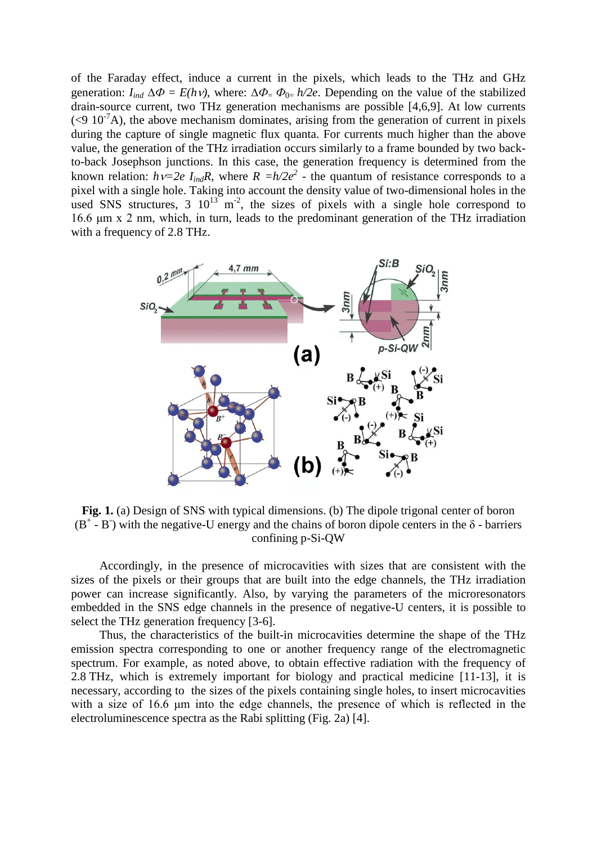of the Faraday effect, induce a current in the pixels, which leads to the THz and GHz generation:  $I_{ind} \Delta \Phi = E(hv)$ , where:  $\Delta \Phi = \Phi_{0=}/2e$ . Depending on the value of the stabilized drain-source current, two THz generation mechanisms are possible [4,6,9]. At low currents  $(< 9\ 10^{-7}A)$ , the above mechanism dominates, arising from the generation of current in pixels during the capture of single magnetic flux quanta. For currents much higher than the above value, the generation of the THz irradiation occurs similarly to a frame bounded by two backto-back Josephson junctions. In this case, the generation frequency is determined from the known relation:  $h\nu=2e I_{ind}R$ , where  $R = h/2e^2$  - the quantum of resistance corresponds to a pixel with a single hole. Taking into account the density value of two-dimensional holes in the used SNS structures, 3  $10^{13}$  m<sup>-2</sup>, the sizes of pixels with a single hole correspond to 16.6 μm x 2 nm, which, in turn, leads to the predominant generation of the THz irradiation with a frequency of 2.8 THz.



**Fig. 1.** (a) Design of SNS with typical dimensions. (b) The dipole trigonal center of boron  $(B^+ - B^-)$  with the negative-U energy and the chains of boron dipole centers in the  $\delta$  - barriers confining p-Si-QW

Accordingly, in the presence of microcavities with sizes that are consistent with the sizes of the pixels or their groups that are built into the edge channels, the THz irradiation power can increase significantly. Also, by varying the parameters of the microresonators embedded in the SNS edge channels in the presence of negative-U centers, it is possible to select the THz generation frequency [3-6].

Thus, the characteristics of the built-in microcavities determine the shape of the THz emission spectra corresponding to one or another frequency range of the electromagnetic spectrum. For example, as noted above, to obtain effective radiation with the frequency of 2.8 THz, which is extremely important for biology and practical medicine [11-13], it is necessary, according to the sizes of the pixels containing single holes, to insert microcavities with a size of 16.6 μm into the edge channels, the presence of which is reflected in the electroluminescence spectra as the Rabi splitting (Fig. 2a) [4].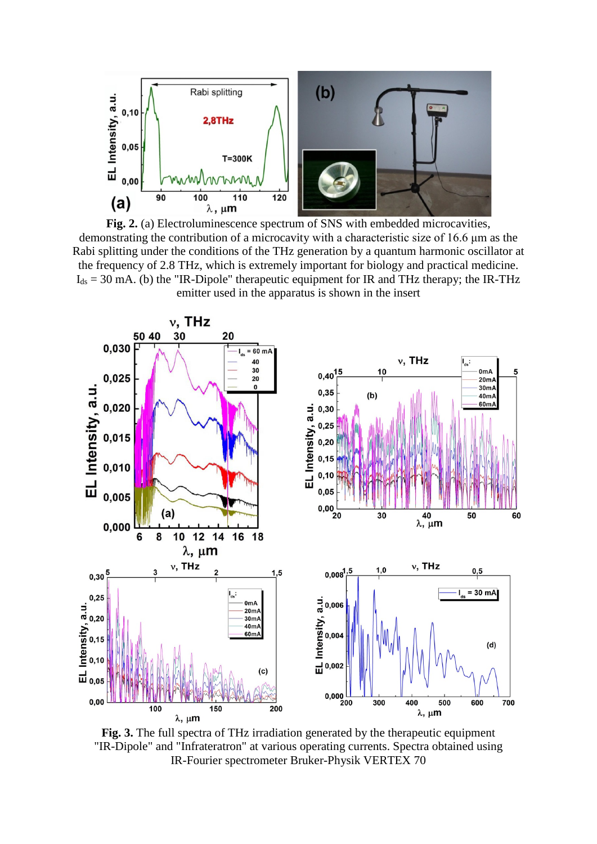

**Fig. 2.** (a) Electroluminescence spectrum of SNS with embedded microcavities, demonstrating the contribution of a microcavity with a characteristic size of 16.6 μm as the Rabi splitting under the conditions of the THz generation by a quantum harmonic oscillator at the frequency of 2.8 THz, which is extremely important for biology and practical medicine.  $I_{ds}$  = 30 mA. (b) the "IR-Dipole" therapeutic equipment for IR and THz therapy; the IR-THz emitter used in the apparatus is shown in the insert



**Fig. 3.** The full spectra of THz irradiation generated by the therapeutic equipment "IR-Dipole" and "Infrateratron" at various operating currents. Spectra obtained using IR-Fourier spectrometer Bruker-Physik VERTEX 70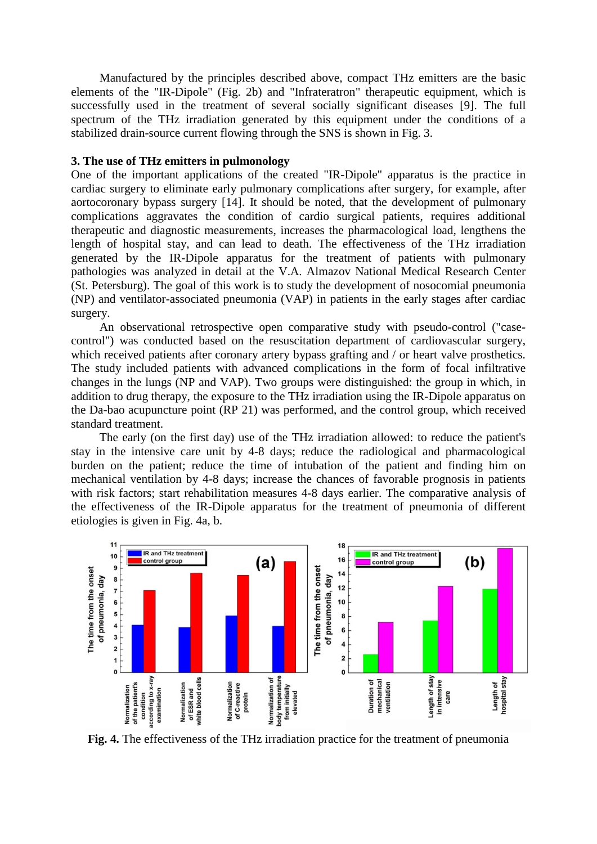Manufactured by the principles described above, compact THz emitters are the basic elements of the "IR-Dipole" (Fig. 2b) and "Infrateratron" therapeutic equipment, which is successfully used in the treatment of several socially significant diseases [9]. The full spectrum of the THz irradiation generated by this equipment under the conditions of a stabilized drain-source current flowing through the SNS is shown in Fig. 3.

### **3. The use of THz emitters in pulmonology**

One of the important applications of the created "IR-Dipole" apparatus is the practice in cardiac surgery to eliminate early pulmonary complications after surgery, for example, after aortocoronary bypass surgery [14]. It should be noted, that the development of pulmonary complications aggravates the condition of cardio surgical patients, requires additional therapeutic and diagnostic measurements, increases the pharmacological load, lengthens the length of hospital stay, and can lead to death. The effectiveness of the THz irradiation generated by the IR-Dipole apparatus for the treatment of patients with pulmonary pathologies was analyzed in detail at the V.A. Almazov National Medical Research Center (St. Petersburg). The goal of this work is to study the development of nosocomial pneumonia (NP) and ventilator-associated pneumonia (VAP) in patients in the early stages after cardiac surgery.

An observational retrospective open comparative study with pseudo-control ("casecontrol") was conducted based on the resuscitation department of cardiovascular surgery, which received patients after coronary artery bypass grafting and / or heart valve prosthetics. The study included patients with advanced complications in the form of focal infiltrative changes in the lungs (NP and VAP). Two groups were distinguished: the group in which, in addition to drug therapy, the exposure to the THz irradiation using the IR-Dipole apparatus on the Da-bao acupuncture point (RP 21) was performed, and the control group, which received standard treatment.

The early (on the first day) use of the THz irradiation allowed: to reduce the patient's stay in the intensive care unit by 4-8 days; reduce the radiological and pharmacological burden on the patient; reduce the time of intubation of the patient and finding him on mechanical ventilation by 4-8 days; increase the chances of favorable prognosis in patients with risk factors; start rehabilitation measures 4-8 days earlier. The comparative analysis of the effectiveness of the IR-Dipole apparatus for the treatment of pneumonia of different etiologies is given in Fig. 4a, b.



**Fig. 4.** The effectiveness of the THz irradiation practice for the treatment of pneumonia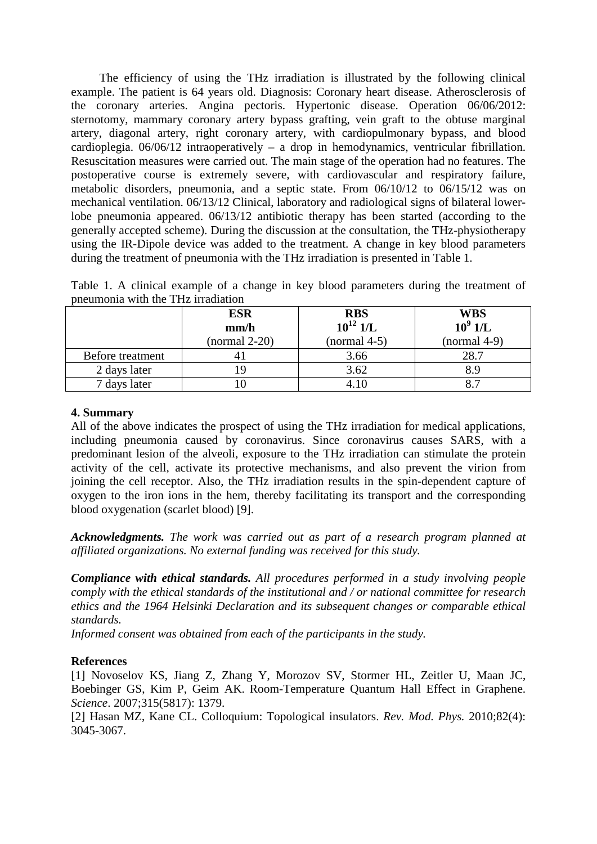Terahertz emitters based on negative-U materials for medical applications 269

The efficiency of using the THz irradiation is illustrated by the following clinical example. The patient is 64 years old. Diagnosis: Coronary heart disease. Atherosclerosis of the coronary arteries. Angina pectoris. Hypertonic disease. Operation 06/06/2012: sternotomy, mammary coronary artery bypass grafting, vein graft to the obtuse marginal artery, diagonal artery, right coronary artery, with cardiopulmonary bypass, and blood cardioplegia. 06/06/12 intraoperatively – a drop in hemodynamics, ventricular fibrillation. Resuscitation measures were carried out. The main stage of the operation had no features. The postoperative course is extremely severe, with cardiovascular and respiratory failure, metabolic disorders, pneumonia, and a septic state. From 06/10/12 to 06/15/12 was on mechanical ventilation. 06/13/12 Clinical, laboratory and radiological signs of bilateral lowerlobe pneumonia appeared. 06/13/12 antibiotic therapy has been started (according to the generally accepted scheme). During the discussion at the consultation, the THz-physiotherapy using the IR-Dipole device was added to the treatment. A change in key blood parameters during the treatment of pneumonia with the THz irradiation is presented in Table 1.

Table 1. A clinical example of a change in key blood parameters during the treatment of pneumonia with the THz irradiation

|                  | <b>ESR</b><br>mm/h<br>$(normal 2-20)$ | <b>RBS</b><br>$10^{12}$ 1/L<br>$(normal 4-5)$ | <b>WBS</b><br>$10^9$ $1/L$<br>$(normal 4-9)$ |
|------------------|---------------------------------------|-----------------------------------------------|----------------------------------------------|
| Before treatment |                                       | 3.66                                          | 28.7                                         |
| 2 days later     | 9                                     | 3.62                                          | 8 O                                          |
| 7 days later     |                                       |                                               |                                              |

### **4. Summary**

All of the above indicates the prospect of using the THz irradiation for medical applications, including pneumonia caused by coronavirus. Since coronavirus causes SARS, with a predominant lesion of the alveoli, exposure to the THz irradiation can stimulate the protein activity of the cell, activate its protective mechanisms, and also prevent the virion from joining the cell receptor. Also, the THz irradiation results in the spin-dependent capture of oxygen to the iron ions in the hem, thereby facilitating its transport and the corresponding blood oxygenation (scarlet blood) [9].

*Acknowledgments. The work was carried out as part of a research program planned at affiliated organizations. No external funding was received for this study.* 

*Compliance with ethical standards. All procedures performed in a study involving people comply with the ethical standards of the institutional and / or national committee for research ethics and the 1964 Helsinki Declaration and its subsequent changes or comparable ethical standards.* 

*Informed consent was obtained from each of the participants in the study.* 

## **References**

[1] Novoselov KS, Jiang Z, Zhang Y, Morozov SV, Stormer HL, Zeitler U, Maan JC, Boebinger GS, Kim P, Geim AK. Room-Temperature Quantum Hall Effect in Graphene. *Science*. 2007;315(5817): 1379.

[2] Hasan MZ, Kane CL. Colloquium: Topological insulators. *Rev. Mod. Phys.* 2010;82(4): 3045-3067.